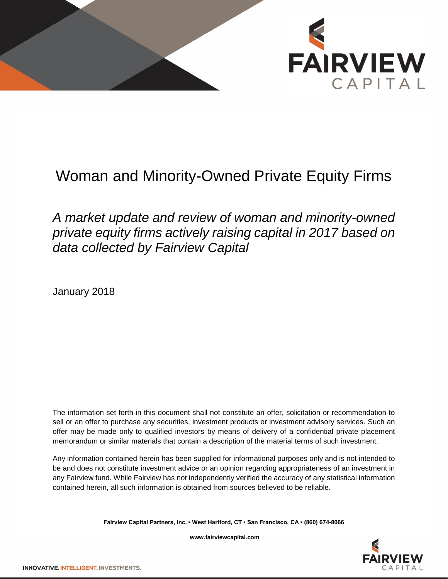

## Woman and Minority-Owned Private Equity Firms

## *A market update and review of woman and minority-owned private equity firms actively raising capital in 2017 based on data collected by Fairview Capital*

January 2018

The information set forth in this document shall not constitute an offer, solicitation or recommendation to sell or an offer to purchase any securities, investment products or investment advisory services. Such an offer may be made only to qualified investors by means of delivery of a confidential private placement memorandum or similar materials that contain a description of the material terms of such investment.

Any information contained herein has been supplied for informational purposes only and is not intended to be and does not constitute investment advice or an opinion regarding appropriateness of an investment in any Fairview fund. While Fairview has not independently verified the accuracy of any statistical information contained herein, all such information is obtained from sources believed to be reliable.

**Fairview Capital Partners, Inc. ▪ West Hartford, CT ▪ San Francisco, CA ▪ (860) 674-8066**

**www.fairviewcapital.com**

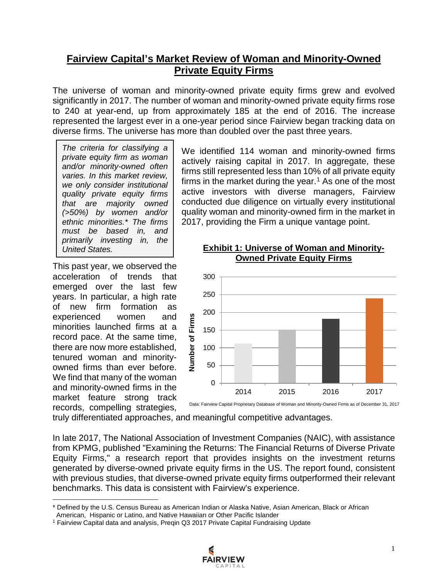### **Fairview Capital's Market Review of Woman and Minority-Owned Private Equity Firms**

The universe of woman and minority-owned private equity firms grew and evolved significantly in 2017. The number of woman and minority-owned private equity firms rose to 240 at year-end, up from approximately 185 at the end of 2016. The increase represented the largest ever in a one-year period since Fairview began tracking data on diverse firms. The universe has more than doubled over the past three years.

*The criteria for classifying a private equity firm as woman and/or minority-owned often varies. In this market review, we only consider institutional quality private equity firms that are majority owned (>50%) by women and/or ethnic minorities.\* The firms must be based in, and primarily investing in, the United States.*

This past year, we observed the acceleration of trends that emerged over the last few years. In particular, a high rate of new firm formation as experienced women and minorities launched firms at a record pace. At the same time, there are now more established, tenured woman and minorityowned firms than ever before. We find that many of the woman and minority-owned firms in the market feature strong track records, compelling strategies,

We identified 114 woman and minority-owned firms actively raising capital in 2017. In aggregate, these firms still represented less than 10% of all private equity firms in the market during the year. [1](#page-1-0) As one of the most active investors with diverse managers, Fairview conducted due diligence on virtually every institutional quality woman and minority-owned firm in the market in 2017, providing the Firm a unique vantage point.



### **Exhibit 1: Universe of Woman and Minority-Owned Private Equity Firms**

truly differentiated approaches, and meaningful competitive advantages.

In late 2017, The National Association of Investment Companies (NAIC), with assistance from KPMG, published "Examining the Returns: The Financial Returns of Diverse Private Equity Firms," a research report that provides insights on the investment returns generated by diverse-owned private equity firms in the US. The report found, consistent with previous studies, that diverse-owned private equity firms outperformed their relevant benchmarks. This data is consistent with Fairview's experience.

<sup>1</sup> Fairview Capital data and analysis, Preqin Q3 2017 Private Capital Fundraising Update



<span id="page-1-0"></span>l \* Defined by the U.S. Census Bureau as American Indian or Alaska Native, Asian American, Black or African

American, Hispanic or Latino, and Native Hawaiian or Other Pacific Islander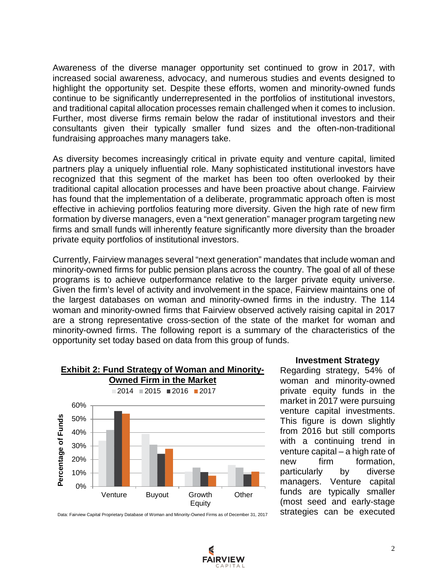Awareness of the diverse manager opportunity set continued to grow in 2017, with increased social awareness, advocacy, and numerous studies and events designed to highlight the opportunity set. Despite these efforts, women and minority-owned funds continue to be significantly underrepresented in the portfolios of institutional investors, and traditional capital allocation processes remain challenged when it comes to inclusion. Further, most diverse firms remain below the radar of institutional investors and their consultants given their typically smaller fund sizes and the often-non-traditional fundraising approaches many managers take.

As diversity becomes increasingly critical in private equity and venture capital, limited partners play a uniquely influential role. Many sophisticated institutional investors have recognized that this segment of the market has been too often overlooked by their traditional capital allocation processes and have been proactive about change. Fairview has found that the implementation of a deliberate, programmatic approach often is most effective in achieving portfolios featuring more diversity. Given the high rate of new firm formation by diverse managers, even a "next generation" manager program targeting new firms and small funds will inherently feature significantly more diversity than the broader private equity portfolios of institutional investors.

Currently, Fairview manages several "next generation" mandates that include woman and minority-owned firms for public pension plans across the country. The goal of all of these programs is to achieve outperformance relative to the larger private equity universe. Given the firm's level of activity and involvement in the space, Fairview maintains one of the largest databases on woman and minority-owned firms in the industry. The 114 woman and minority-owned firms that Fairview observed actively raising capital in 2017 are a strong representative cross-section of the state of the market for woman and minority-owned firms. The following report is a summary of the characteristics of the opportunity set today based on data from this group of funds.



### **Exhibit 2: Fund Strategy of Woman and Minority-**

#### Data: Fairview Capital Proprietary Database of Woman and Minority-Owned Firms as of December 31, 2017

#### **Investment Strategy**

Regarding strategy, 54% of woman and minority-owned private equity funds in the market in 2017 were pursuing venture capital investments. This figure is down slightly from 2016 but still comports with a continuing trend in venture capital – a high rate of new firm formation, particularly by diverse managers. Venture capital funds are typically smaller (most seed and early-stage strategies can be executed

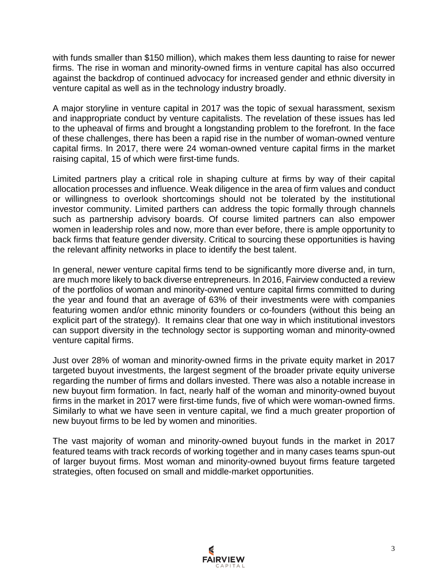with funds smaller than \$150 million), which makes them less daunting to raise for newer firms. The rise in woman and minority-owned firms in venture capital has also occurred against the backdrop of continued advocacy for increased gender and ethnic diversity in venture capital as well as in the technology industry broadly.

A major storyline in venture capital in 2017 was the topic of sexual harassment, sexism and inappropriate conduct by venture capitalists. The revelation of these issues has led to the upheaval of firms and brought a longstanding problem to the forefront. In the face of these challenges, there has been a rapid rise in the number of woman-owned venture capital firms. In 2017, there were 24 woman-owned venture capital firms in the market raising capital, 15 of which were first-time funds.

Limited partners play a critical role in shaping culture at firms by way of their capital allocation processes and influence. Weak diligence in the area of firm values and conduct or willingness to overlook shortcomings should not be tolerated by the institutional investor community. Limited parthers can address the topic formally through channels such as partnership advisory boards. Of course limited partners can also empower women in leadership roles and now, more than ever before, there is ample opportunity to back firms that feature gender diversity. Critical to sourcing these opportunities is having the relevant affinity networks in place to identify the best talent.

In general, newer venture capital firms tend to be significantly more diverse and, in turn, are much more likely to back diverse entrepreneurs. In 2016, Fairview conducted a review of the portfolios of woman and minority-owned venture capital firms committed to during the year and found that an average of 63% of their investments were with companies featuring women and/or ethnic minority founders or co-founders (without this being an explicit part of the strategy). It remains clear that one way in which institutional investors can support diversity in the technology sector is supporting woman and minority-owned venture capital firms.

Just over 28% of woman and minority-owned firms in the private equity market in 2017 targeted buyout investments, the largest segment of the broader private equity universe regarding the number of firms and dollars invested. There was also a notable increase in new buyout firm formation. In fact, nearly half of the woman and minority-owned buyout firms in the market in 2017 were first-time funds, five of which were woman-owned firms. Similarly to what we have seen in venture capital, we find a much greater proportion of new buyout firms to be led by women and minorities.

The vast majority of woman and minority-owned buyout funds in the market in 2017 featured teams with track records of working together and in many cases teams spun-out of larger buyout firms. Most woman and minority-owned buyout firms feature targeted strategies, often focused on small and middle-market opportunities.

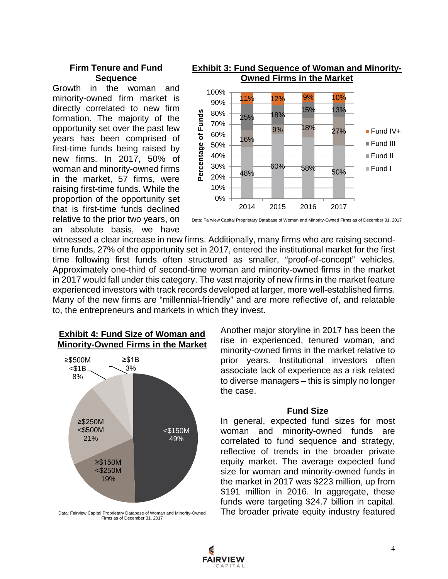### **Firm Tenure and Fund Sequence**

Growth in the woman and minority-owned firm market is directly correlated to new firm formation. The majority of the opportunity set over the past few years has been comprised of first-time funds being raised by new firms. In 2017, 50% of woman and minority-owned firms in the market, 57 firms, were raising first-time funds. While the proportion of the opportunity set that is first-time funds declined relative to the prior two years, on an absolute basis, we have



# **Exhibit 3: Fund Sequence of Woman and Minority-**

Data: Fairview Capital Proprietary Database of Woman and Minority-Owned Firms as of December 31, 2017

witnessed a clear increase in new firms. Additionally, many firms who are raising secondtime funds, 27% of the opportunity set in 2017, entered the institutional market for the first time following first funds often structured as smaller, "proof-of-concept" vehicles. Approximately one-third of second-time woman and minority-owned firms in the market in 2017 would fall under this category. The vast majority of new firms in the market feature experienced investors with track records developed at larger, more well-established firms. Many of the new firms are "millennial-friendly" and are more reflective of, and relatable to, the entrepreneurs and markets in which they invest.





Data: Fairview Capital Proprietary Database of Woman and Minority-Owned Firms as of December 31, 2017

Another major storyline in 2017 has been the rise in experienced, tenured woman, and minority-owned firms in the market relative to prior years. Institutional investors often associate lack of experience as a risk related to diverse managers – this is simply no longer the case.

### **Fund Size**

In general, expected fund sizes for most woman and minority-owned funds are correlated to fund sequence and strategy, reflective of trends in the broader private equity market. The average expected fund size for woman and minority-owned funds in the market in 2017 was \$223 million, up from \$191 million in 2016. In aggregate, these funds were targeting \$24.7 billion in capital. The broader private equity industry featured

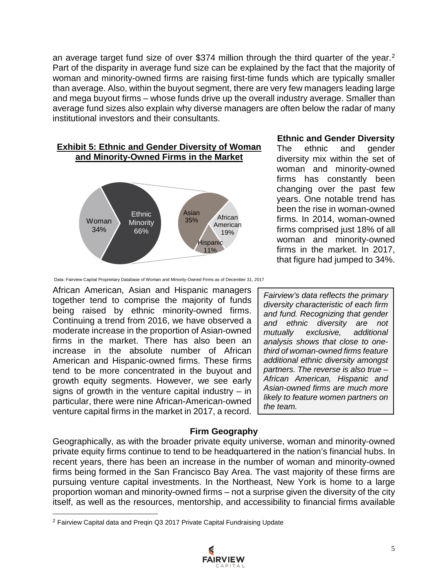an average target fund size of over \$374 million through the third quarter of the year.<sup>[2](#page-5-0)</sup> Part of the disparity in average fund size can be explained by the fact that the majority of woman and minority-owned firms are raising first-time funds which are typically smaller than average. Also, within the buyout segment, there are very few managers leading large and mega buyout firms – whose funds drive up the overall industry average. Smaller than average fund sizes also explain why diverse managers are often below the radar of many institutional investors and their consultants.

### **Exhibit 5: Ethnic and Gender Diversity of Woman and Minority-Owned Firms in the Market**



### **Ethnic and Gender Diversity**

The ethnic and gender diversity mix within the set of woman and minority-owned firms has constantly been changing over the past few years. One notable trend has been the rise in woman-owned firms. In 2014, woman-owned firms comprised just 18% of all woman and minority-owned firms in the market. In 2017, that figure had jumped to 34%.

African American, Asian and Hispanic managers together tend to comprise the majority of funds being raised by ethnic minority-owned firms. Continuing a trend from 2016, we have observed a moderate increase in the proportion of Asian-owned firms in the market. There has also been an increase in the absolute number of African American and Hispanic-owned firms. These firms tend to be more concentrated in the buyout and growth equity segments. However, we see early signs of growth in the venture capital industry  $-$  in particular, there were nine African-American-owned venture capital firms in the market in 2017, a record.

*Fairview's data reflects the primary diversity characteristic of each firm and fund. Recognizing that gender and ethnic diversity are not mutually exclusive, additional analysis shows that close to onethird of woman-owned firms feature additional ethnic diversity amongst partners. The reverse is also true – African American, Hispanic and Asian-owned firms are much more likely to feature women partners on the team.* 

### **Firm Geography**

Geographically, as with the broader private equity universe, woman and minority-owned private equity firms continue to tend to be headquartered in the nation's financial hubs. In recent years, there has been an increase in the number of woman and minority-owned firms being formed in the San Francisco Bay Area. The vast majority of these firms are pursuing venture capital investments. In the Northeast, New York is home to a large proportion woman and minority-owned firms – not a surprise given the diversity of the city itself, as well as the resources, mentorship, and accessibility to financial firms available

l



Data: Fairview Capital Proprietary Database of Woman and Minority-Owned Firms as of December 31, 2017

<span id="page-5-0"></span><sup>2</sup> Fairview Capital data and Preqin Q3 2017 Private Capital Fundraising Update